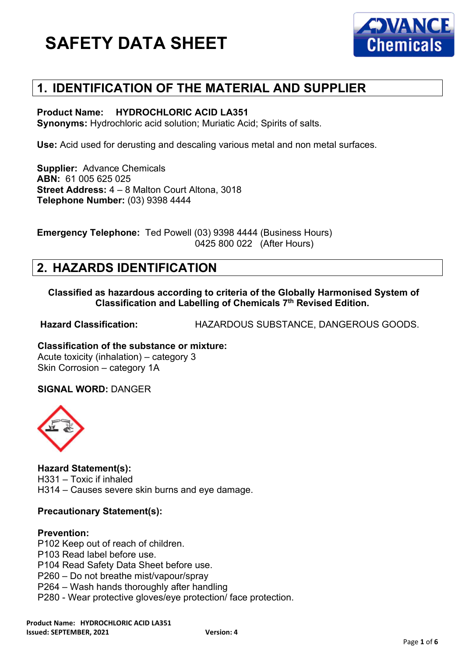

## **1. IDENTIFICATION OF THE MATERIAL AND SUPPLIER**

#### **Product Name: HYDROCHLORIC ACID LA351**

**Synonyms:** Hydrochloric acid solution; Muriatic Acid; Spirits of salts.

**Use:** Acid used for derusting and descaling various metal and non metal surfaces.

**Supplier:** Advance Chemicals **ABN:** 61 005 625 025 **Street Address:** 4 – 8 Malton Court Altona, 3018 **Telephone Number:** (03) 9398 4444

**Emergency Telephone:** Ted Powell (03) 9398 4444 (Business Hours) 0425 800 022 (After Hours)

## **2. HAZARDS IDENTIFICATION**

**Classified as hazardous according to criteria of the Globally Harmonised System of Classification and Labelling of Chemicals 7th Revised Edition.**

**Hazard Classification:** HAZARDOUS SUBSTANCE, DANGEROUS GOODS.

**Classification of the substance or mixture:** Acute toxicity (inhalation) – category 3 Skin Corrosion – category 1A

**SIGNAL WORD:** DANGER



**Hazard Statement(s):** H331 – Toxic if inhaled H314 – Causes severe skin burns and eye damage.

### **Precautionary Statement(s):**

#### **Prevention:**

P102 Keep out of reach of children. P103 Read label before use. P104 Read Safety Data Sheet before use. P260 – Do not breathe mist/vapour/spray P264 – Wash hands thoroughly after handling P280 - Wear protective gloves/eye protection/ face protection.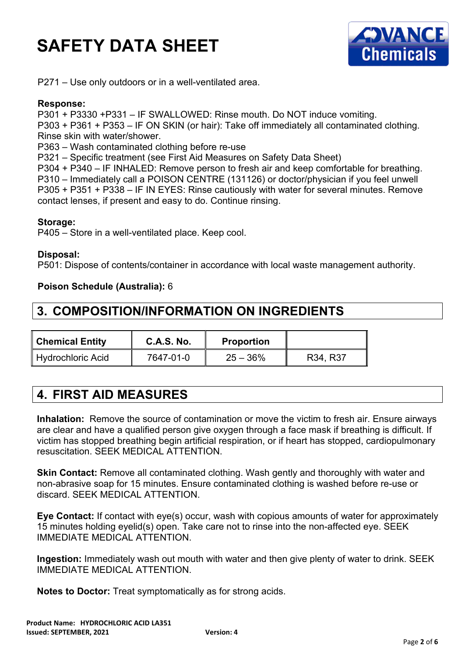

P271 – Use only outdoors or in a well-ventilated area.

#### **Response:**

P301 + P3330 +P331 – IF SWALLOWED: Rinse mouth. Do NOT induce vomiting. P303 + P361 + P353 – IF ON SKIN (or hair): Take off immediately all contaminated clothing.

Rinse skin with water/shower.

P363 – Wash contaminated clothing before re-use

P321 – Specific treatment (see First Aid Measures on Safety Data Sheet)

P304 + P340 – IF INHALED: Remove person to fresh air and keep comfortable for breathing. P310 – Immediately call a POISON CENTRE (131126) or doctor/physician if you feel unwell P305 + P351 + P338 – IF IN EYES: Rinse cautiously with water for several minutes. Remove contact lenses, if present and easy to do. Continue rinsing.

#### **Storage:**

P405 – Store in a well-ventilated place. Keep cool.

#### **Disposal:**

P501: Dispose of contents/container in accordance with local waste management authority.

#### **Poison Schedule (Australia):** 6

### **3. COMPOSITION/INFORMATION ON INGREDIENTS**

| <b>Chemical Entity</b>   | <b>C.A.S. No.</b> | <b>Proportion</b> |          |
|--------------------------|-------------------|-------------------|----------|
| <b>Hydrochloric Acid</b> | 7647-01-0         | $25 - 36%$        | R34, R37 |

## **4. FIRST AID MEASURES**

**Inhalation:** Remove the source of contamination or move the victim to fresh air. Ensure airways are clear and have a qualified person give oxygen through a face mask if breathing is difficult. If victim has stopped breathing begin artificial respiration, or if heart has stopped, cardiopulmonary resuscitation. SEEK MEDICAL ATTENTION.

**Skin Contact:** Remove all contaminated clothing. Wash gently and thoroughly with water and non-abrasive soap for 15 minutes. Ensure contaminated clothing is washed before re-use or discard. SEEK MEDICAL ATTENTION.

**Eye Contact:** If contact with eye(s) occur, wash with copious amounts of water for approximately 15 minutes holding eyelid(s) open. Take care not to rinse into the non-affected eye. SEEK IMMEDIATE MEDICAL ATTENTION.

**Ingestion:** Immediately wash out mouth with water and then give plenty of water to drink. SEEK IMMEDIATE MEDICAL ATTENTION.

**Notes to Doctor:** Treat symptomatically as for strong acids.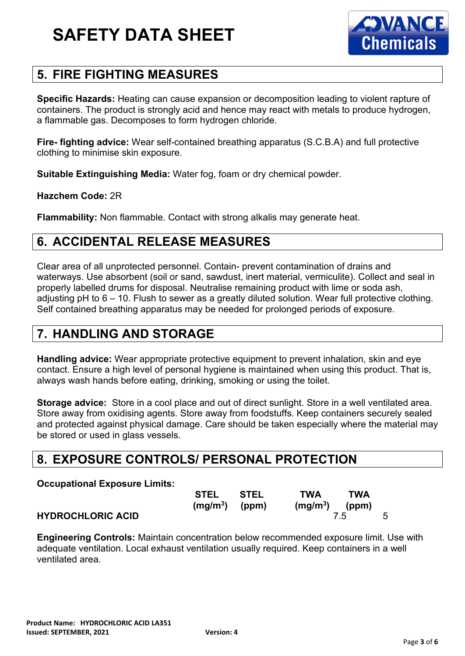

# **5. FIRE FIGHTING MEASURES**

**Specific Hazards:** Heating can cause expansion or decomposition leading to violent rapture of containers. The product is strongly acid and hence may react with metals to produce hydrogen, a flammable gas. Decomposes to form hydrogen chloride.

**Fire- fighting advice:** Wear self-contained breathing apparatus (S.C.B.A) and full protective clothing to minimise skin exposure.

**Suitable Extinguishing Media:** Water fog, foam or dry chemical powder.

### **Hazchem Code:** 2R

**Flammability:** Non flammable. Contact with strong alkalis may generate heat.

# **6. ACCIDENTAL RELEASE MEASURES**

Clear area of all unprotected personnel. Contain- prevent contamination of drains and waterways. Use absorbent (soil or sand, sawdust, inert material, vermiculite). Collect and seal in properly labelled drums for disposal. Neutralise remaining product with lime or soda ash, adjusting pH to 6 – 10. Flush to sewer as a greatly diluted solution. Wear full protective clothing. Self contained breathing apparatus may be needed for prolonged periods of exposure.

## **7. HANDLING AND STORAGE**

**Handling advice:** Wear appropriate protective equipment to prevent inhalation, skin and eye contact. Ensure a high level of personal hygiene is maintained when using this product. That is, always wash hands before eating, drinking, smoking or using the toilet.

**Storage advice:** Store in a cool place and out of direct sunlight. Store in a well ventilated area. Store away from oxidising agents. Store away from foodstuffs. Keep containers securely sealed and protected against physical damage. Care should be taken especially where the material may be stored or used in glass vessels.

### **8. EXPOSURE CONTROLS/ PERSONAL PROTECTION**

### **Occupational Exposure Limits:**

|                          | <b>STEL</b>     | <b>STEL</b> | <b>TWA</b><br><b>TWA</b> |  |
|--------------------------|-----------------|-------------|--------------------------|--|
|                          | $(mg/m3)$ (ppm) |             | $(mg/m3)$ (ppm)          |  |
| <b>HYDROCHLORIC ACID</b> |                 |             |                          |  |

**Engineering Controls:** Maintain concentration below recommended exposure limit. Use with adequate ventilation. Local exhaust ventilation usually required. Keep containers in a well ventilated area.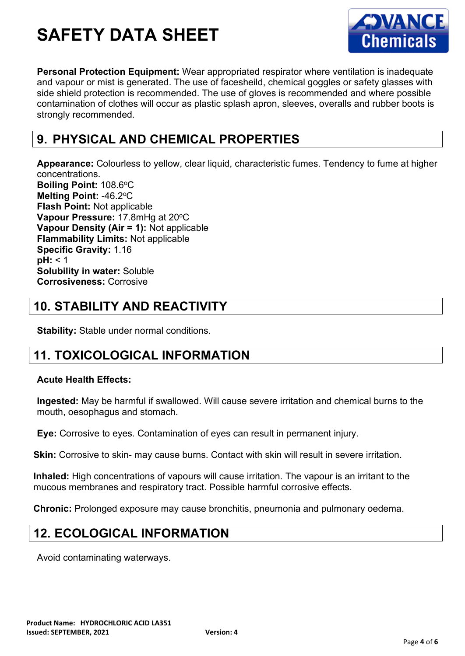

**Personal Protection Equipment:** Wear appropriated respirator where ventilation is inadequate and vapour or mist is generated. The use of facesheild, chemical goggles or safety glasses with side shield protection is recommended. The use of gloves is recommended and where possible contamination of clothes will occur as plastic splash apron, sleeves, overalls and rubber boots is strongly recommended.

## **9. PHYSICAL AND CHEMICAL PROPERTIES**

**Appearance:** Colourless to yellow, clear liquid, characteristic fumes. Tendency to fume at higher concentrations. **Boiling Point: 108.6°C** Melting Point: -46.2°C **Flash Point:** Not applicable **Vapour Pressure: 17.8mHg at 20°C Vapour Density (Air = 1):** Not applicable **Flammability Limits:** Not applicable **Specific Gravity:** 1.16 **pH:** < 1 **Solubility in water:** Soluble **Corrosiveness:** Corrosive

# **10. STABILITY AND REACTIVITY**

**Stability:** Stable under normal conditions.

## **11. TOXICOLOGICAL INFORMATION**

### **Acute Health Effects:**

**Ingested:** May be harmful if swallowed. Will cause severe irritation and chemical burns to the mouth, oesophagus and stomach.

**Eye:** Corrosive to eyes. Contamination of eyes can result in permanent injury.

**Skin:** Corrosive to skin- may cause burns. Contact with skin will result in severe irritation.

**Inhaled:** High concentrations of vapours will cause irritation. The vapour is an irritant to the mucous membranes and respiratory tract. Possible harmful corrosive effects.

**Chronic:** Prolonged exposure may cause bronchitis, pneumonia and pulmonary oedema.

## **12. ECOLOGICAL INFORMATION**

Avoid contaminating waterways.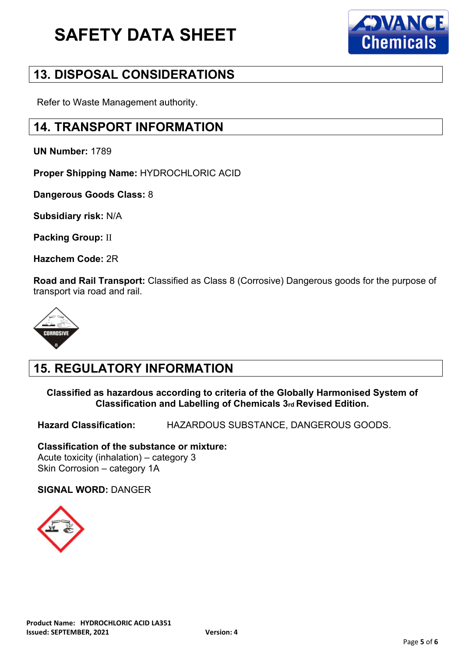

## **13. DISPOSAL CONSIDERATIONS**

Refer to Waste Management authority.

## **14. TRANSPORT INFORMATION**

**UN Number:** 1789

**Proper Shipping Name:** HYDROCHLORIC ACID

**Dangerous Goods Class:** 8

**Subsidiary risk:** N/A

**Packing Group:** II

**Hazchem Code:** 2R

**Road and Rail Transport:** Classified as Class 8 (Corrosive) Dangerous goods for the purpose of transport via road and rail.



## **15. REGULATORY INFORMATION**

**Classified as hazardous according to criteria of the Globally Harmonised System of Classification and Labelling of Chemicals 3rd Revised Edition.**

**Hazard Classification:** HAZARDOUS SUBSTANCE, DANGEROUS GOODS.

**Classification of the substance or mixture:** Acute toxicity (inhalation) – category 3 Skin Corrosion – category 1A

**SIGNAL WORD:** DANGER